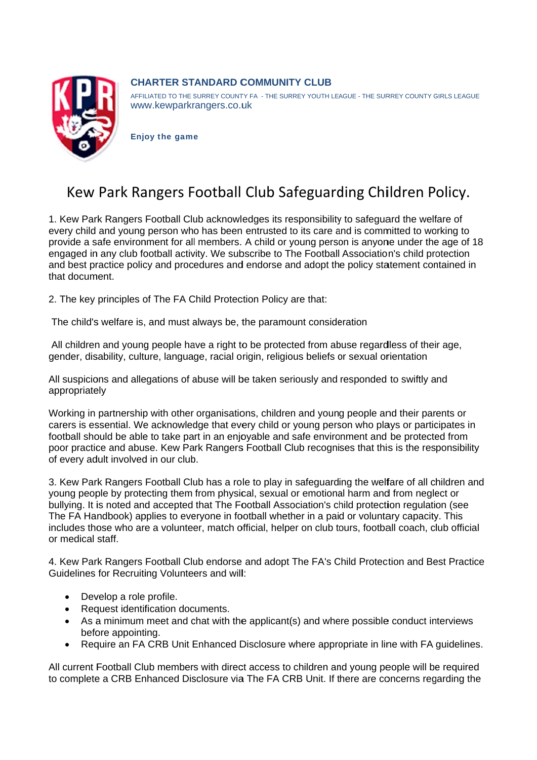

## **CHARTER STANDARD COMMUNITY CLUB**

AFFILIATED TO THE SURREY COUNTY FA - THE SURREY YOUTH LEAGUE - THE SURREY COUNTY GIRLS LEAGUE www.kewparkrangers.co.uk

**Enjoy the game** 

## Kew Park Rangers Football Club Safeguarding Children Policy.

1. Kew Park Rangers Football Club acknowledges its responsibility to safeguard the welfare of every child and young person who has been entrusted to its care and is committed to working to provide a safe environment for all members. A child or young person is anyone under the age of 18 engaged in any club football activity. We subscribe to The Football Association's child protection and best practice policy and procedures and endorse and adopt the policy statement contained in that document.

2. The key principles of The FA Child Protection Policy are that:

The child's welfare is, and must always be, the paramount consideration

All children and young people have a right to be protected from abuse regardless of their age, gender, disability, culture, language, racial origin, religious beliefs or sexual orientation

All suspicions and allegations of abuse will be taken seriously and responded to swiftly and appropriately

Working in partnership with other organisations, children and young people and their parents or carers is essential. We acknowledge that every child or young person who plays or participates in football should be able to take part in an enjoyable and safe environment and be protected from poor practice and abuse. Kew Park Rangers Football Club recognises that this is the responsibility of every adult involved in our club.

3. Kew Park Rangers Football Club has a role to play in safeguarding the welfare of all children and young people by protecting them from physical, sexual or emotional harm and from neglect or bullying. It is noted and accepted that The Football Association's child protection regulation (see The FA Handbook) applies to everyone in football whether in a paid or voluntary capacity. This includes those who are a volunteer, match official, helper on club tours, football coach, club official or medical staff.

4. Kew Park Rangers Football Club endorse and adopt The FA's Child Protection and Best Practice Guidelines for Recruiting Volunteers and will:

- Develop a role profile.
- Request identification documents.
- As a minimum meet and chat with the applicant(s) and where possible conduct interviews before appointing.
- Require an FA CRB Unit Enhanced Disclosure where appropriate in line with FA guidelines.

All current Football Club members with direct access to children and young people will be required to complete a CRB Enhanced Disclosure via The FA CRB Unit. If there are concerns regarding the